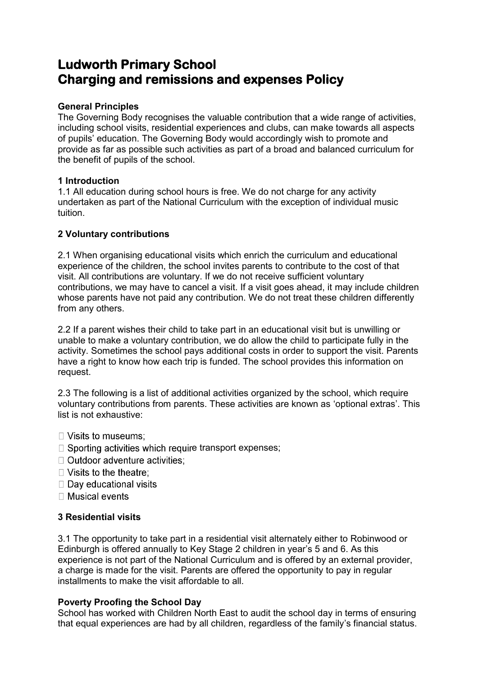# **Ludworth Primary School Charging and remissions and expenses Policy**

# **General Principles**

The Governing Body recognises the valuable contribution that a wide range of activities, including school visits, residential experiences and clubs, can make towards all aspects of pupils' education. The Governing Body would accordingly wish to promote and provide as far as possible such activities as part of a broad and balanced curriculum for the benefit of pupils of the school.

# **1 Introduction**

1.1 All education during school hours is free. We do not charge for any activity undertaken as part of the National Curriculum with the exception of individual music tuition.

# **2 Voluntary contributions**

2.1 When organising educational visits which enrich the curriculum and educational experience of the children, the school invites parents to contribute to the cost of that visit. All contributions are voluntary. If we do not receive sufficient voluntary contributions, we may have to cancel a visit. If a visit goes ahead, it may include children whose parents have not paid any contribution. We do not treat these children differently from any others.

2.2 If a parent wishes their child to take part in an educational visit but is unwilling or unable to make a voluntary contribution, we do allow the child to participate fully in the activity. Sometimes the school pays additional costs in order to support the visit. Parents have a right to know how each trip is funded. The school provides this information on request.

2.3 The following is a list of additional activities organized by the school, which require voluntary contributions from parents. These activities are known as 'optional extras'. This list is not exhaustive:

- $\Box$  Visits to museums:
- $\Box$  Sporting activities which require transport expenses;
- □ Outdoor adventure activities:
- $\Box$  Visits to the theatre:
- □ Day educational visits
- $\Box$  Musical events

# **3 Residential visits**

3.1 The opportunity to take part in a residential visit alternately either to Robinwood or Edinburgh is offered annually to Key Stage 2 children in year's 5 and 6. As this experience is not part of the National Curriculum and is offered by an external provider, a charge is made for the visit. Parents are offered the opportunity to pay in regular installments to make the visit affordable to all.

# **Poverty Proofing the School Day**

School has worked with Children North East to audit the school day in terms of ensuring that equal experiences are had by all children, regardless of the family's financial status.